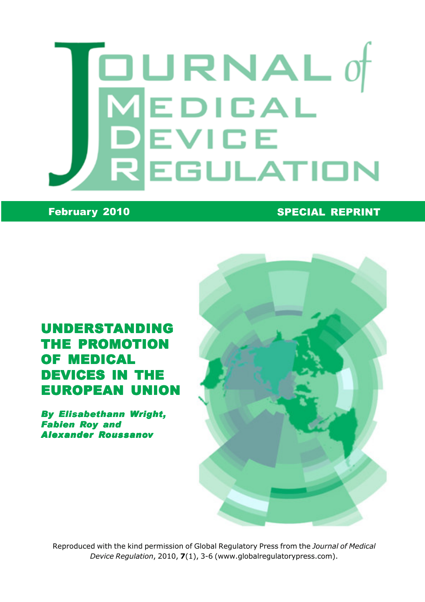# $\boxed{\blacksquare}$ URNAL 0 MEDICAL **DEVICE<br>REGULATION**

#### February 2010 **SPECIAL REPRINT**

## UNDERSTANDING THE PROMOTION OF MEDICAL DEVICES IN THE EUROPEAN UNION

By Elisabethann Wright, Fabien Roy and Alexander Roussanov



Reproduced with the kind permission of Global Regulatory Press from the Journal of Medical Device Regulation, 2010, 7(1), 3-6 (www.globalregulatorypress.com).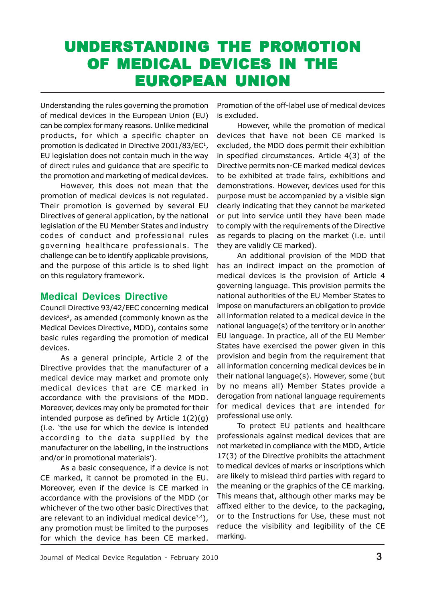# UNDERSTANDING THE PROMOTION OF MEDICAL DEVICES IN THE EUROPEAN UNION

Understanding the rules governing the promotion of medical devices in the European Union (EU) can be complex for many reasons. Unlike medicinal products, for which a specific chapter on promotion is dedicated in Directive 2001/83/EC<sup>1</sup>, EU legislation does not contain much in the way of direct rules and guidance that are specific to the promotion and marketing of medical devices.

However, this does not mean that the promotion of medical devices is not regulated. Their promotion is governed by several EU Directives of general application, by the national legislation of the EU Member States and industry codes of conduct and professional rules governing healthcare professionals. The challenge can be to identify applicable provisions, and the purpose of this article is to shed light on this regulatory framework.

#### **Medical Devices Directive**

Council Directive 93/42/EEC concerning medical devices<sup>2</sup>, as amended (commonly known as the Medical Devices Directive, MDD), contains some basic rules regarding the promotion of medical devices.

As a general principle, Article 2 of the Directive provides that the manufacturer of a medical device may market and promote only medical devices that are CE marked in accordance with the provisions of the MDD. Moreover, devices may only be promoted for their intended purpose as defined by Article 1(2)(g) (i.e. 'the use for which the device is intended according to the data supplied by the manufacturer on the labelling, in the instructions and/or in promotional materials').

As a basic consequence, if a device is not CE marked, it cannot be promoted in the EU. Moreover, even if the device is CE marked in accordance with the provisions of the MDD (or whichever of the two other basic Directives that are relevant to an individual medical device $3,4$ ), any promotion must be limited to the purposes for which the device has been CE marked.

Promotion of the off-label use of medical devices is excluded.

However, while the promotion of medical devices that have not been CE marked is excluded, the MDD does permit their exhibition in specified circumstances. Article 4(3) of the Directive permits non-CE marked medical devices to be exhibited at trade fairs, exhibitions and demonstrations. However, devices used for this purpose must be accompanied by a visible sign clearly indicating that they cannot be marketed or put into service until they have been made to comply with the requirements of the Directive as regards to placing on the market (i.e. until they are validly CE marked).

An additional provision of the MDD that has an indirect impact on the promotion of medical devices is the provision of Article 4 governing language. This provision permits the national authorities of the EU Member States to impose on manufacturers an obligation to provide all information related to a medical device in the national language(s) of the territory or in another EU language. In practice, all of the EU Member States have exercised the power given in this provision and begin from the requirement that all information concerning medical devices be in their national language(s). However, some (but by no means all) Member States provide a derogation from national language requirements for medical devices that are intended for professional use only.

To protect EU patients and healthcare professionals against medical devices that are not marketed in compliance with the MDD, Article 17(3) of the Directive prohibits the attachment to medical devices of marks or inscriptions which are likely to mislead third parties with regard to the meaning or the graphics of the CE marking. This means that, although other marks may be affixed either to the device, to the packaging, or to the Instructions for Use, these must not reduce the visibility and legibility of the CE marking.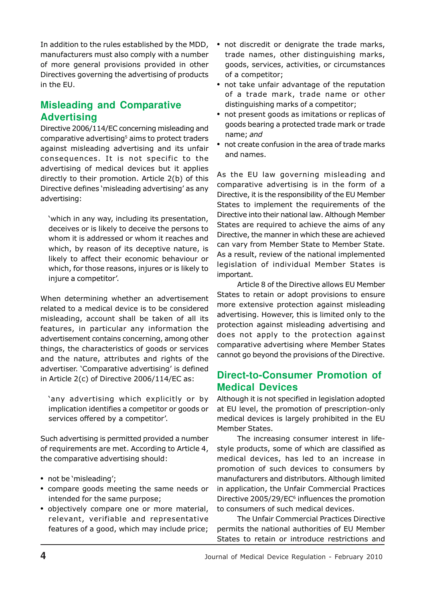In addition to the rules established by the MDD, manufacturers must also comply with a number of more general provisions provided in other Directives governing the advertising of products in the EU.

### **Misleading and Comparative Advertising**

Directive 2006/114/EC concerning misleading and comparative advertising<sup>5</sup> aims to protect traders against misleading advertising and its unfair consequences. It is not specific to the advertising of medical devices but it applies directly to their promotion. Article 2(b) of this Directive defines 'misleading advertising' as any advertising:

'which in any way, including its presentation, deceives or is likely to deceive the persons to whom it is addressed or whom it reaches and which, by reason of its deceptive nature, is likely to affect their economic behaviour or which, for those reasons, injures or is likely to injure a competitor'.

When determining whether an advertisement related to a medical device is to be considered misleading, account shall be taken of all its features, in particular any information the advertisement contains concerning, among other things, the characteristics of goods or services and the nature, attributes and rights of the advertiser. 'Comparative advertising' is defined in Article 2(c) of Directive 2006/114/EC as:

'any advertising which explicitly or by implication identifies a competitor or goods or services offered by a competitor'.

Such advertising is permitted provided a number of requirements are met. According to Article 4, the comparative advertising should:

- not be 'misleading';
- compare goods meeting the same needs or intended for the same purpose;
- objectively compare one or more material, relevant, verifiable and representative features of a good, which may include price;
- not discredit or denigrate the trade marks, trade names, other distinguishing marks, goods, services, activities, or circumstances of a competitor;
- not take unfair advantage of the reputation of a trade mark, trade name or other distinguishing marks of a competitor;
- not present goods as imitations or replicas of goods bearing a protected trade mark or trade name; and
- not create confusion in the area of trade marks and names.

As the EU law governing misleading and comparative advertising is in the form of a Directive, it is the responsibility of the EU Member States to implement the requirements of the Directive into their national law. Although Member States are required to achieve the aims of any Directive, the manner in which these are achieved can vary from Member State to Member State. As a result, review of the national implemented legislation of individual Member States is important.

Article 8 of the Directive allows EU Member States to retain or adopt provisions to ensure more extensive protection against misleading advertising. However, this is limited only to the protection against misleading advertising and does not apply to the protection against comparative advertising where Member States cannot go beyond the provisions of the Directive.

#### **Direct-to-Consumer Promotion of Medical Devices**

Although it is not specified in legislation adopted at EU level, the promotion of prescription-only medical devices is largely prohibited in the EU Member States.

The increasing consumer interest in lifestyle products, some of which are classified as medical devices, has led to an increase in promotion of such devices to consumers by manufacturers and distributors. Although limited in application, the Unfair Commercial Practices Directive 2005/29/EC $6$  influences the promotion to consumers of such medical devices.

The Unfair Commercial Practices Directive permits the national authorities of EU Member States to retain or introduce restrictions and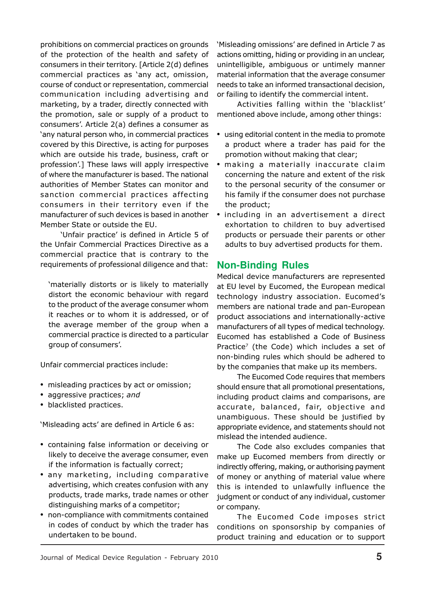prohibitions on commercial practices on grounds of the protection of the health and safety of consumers in their territory. [Article 2(d) defines commercial practices as 'any act, omission, course of conduct or representation, commercial communication including advertising and marketing, by a trader, directly connected with the promotion, sale or supply of a product to consumers'. Article 2(a) defines a consumer as 'any natural person who, in commercial practices covered by this Directive, is acting for purposes which are outside his trade, business, craft or profession'.] These laws will apply irrespective of where the manufacturer is based. The national authorities of Member States can monitor and sanction commercial practices affecting consumers in their territory even if the manufacturer of such devices is based in another Member State or outside the EU.

'Unfair practice' is defined in Article 5 of the Unfair Commercial Practices Directive as a commercial practice that is contrary to the requirements of professional diligence and that:

'materially distorts or is likely to materially distort the economic behaviour with regard to the product of the average consumer whom it reaches or to whom it is addressed, or of the average member of the group when a commercial practice is directed to a particular group of consumers'.

Unfair commercial practices include:

- misleading practices by act or omission;
- aggressive practices; and
- blacklisted practices.

'Misleading acts' are defined in Article 6 as:

- containing false information or deceiving or likely to deceive the average consumer, even if the information is factually correct;
- any marketing, including comparative advertising, which creates confusion with any products, trade marks, trade names or other distinguishing marks of a competitor;
- non-compliance with commitments contained in codes of conduct by which the trader has undertaken to be bound.

'Misleading omissions' are defined in Article 7 as actions omitting, hiding or providing in an unclear, unintelligible, ambiguous or untimely manner material information that the average consumer needs to take an informed transactional decision, or failing to identify the commercial intent.

Activities falling within the 'blacklist' mentioned above include, among other things:

- using editorial content in the media to promote a product where a trader has paid for the promotion without making that clear;
- making a materially inaccurate claim concerning the nature and extent of the risk to the personal security of the consumer or his family if the consumer does not purchase the product;
- including in an advertisement a direct exhortation to children to buy advertised products or persuade their parents or other adults to buy advertised products for them.

#### **Non-Binding Rules**

Medical device manufacturers are represented at EU level by Eucomed, the European medical technology industry association. Eucomed's members are national trade and pan-European product associations and internationally-active manufacturers of all types of medical technology. Eucomed has established a Code of Business Practice<sup>7</sup> (the Code) which includes a set of non-binding rules which should be adhered to by the companies that make up its members.

The Eucomed Code requires that members should ensure that all promotional presentations, including product claims and comparisons, are accurate, balanced, fair, objective and unambiguous. These should be justified by appropriate evidence, and statements should not mislead the intended audience.

The Code also excludes companies that make up Eucomed members from directly or indirectly offering, making, or authorising payment of money or anything of material value where this is intended to unlawfully influence the judgment or conduct of any individual, customer or company.

The Eucomed Code imposes strict conditions on sponsorship by companies of product training and education or to support